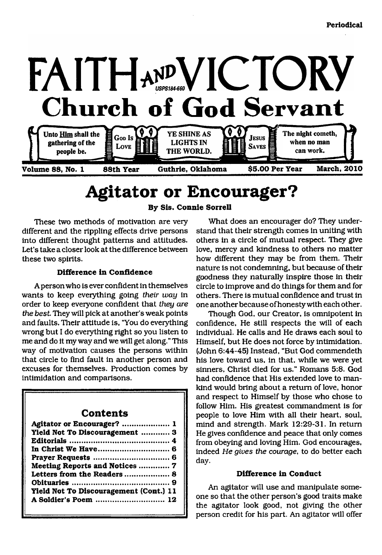

Volume 88, No. 1

**Volume 88, No. 1 88th Year Guthrie, Oklahoma \$5.00 Per Year March, 2010**

# <span id="page-0-0"></span>**Agitator or Encourager?**

**By Sis. Connie Sorrell**

These two methods of motivation are very different and the rippling effects drive persons into different thought patterns and attitudes. Let's take a closer look at the difference between these two spirits.

#### **Difference in Confidence**

A person who is ever confident in themselves wants to keep everything going *their way* in order to keep everyone confident that *they are* the best. They will pick at another's weak points and faults. Their attitude is, "You do everything wrong but I do everything right so you listen to me and do it my way and we will get along." This way of motivation causes the persons within that circle to find fault in another person and excuses for themselves. Production comes by intimidation and comparisons.

## **Contents**

| Agitator or Encourager?  1             |
|----------------------------------------|
| Yield Not To Discouragement  3         |
|                                        |
|                                        |
|                                        |
| Meeting Reports and Notices  7         |
| Letters from the Readers  8            |
|                                        |
| Yield Not To Discouragement (Cont.) 11 |
| A Soldier's Poem  12                   |
|                                        |

What does an encourager do? They understand that their strength comes in uniting with others in a circle of mutual respect. They give love, mercy and kindness to others no matter how different they may be from them. Their nature is not condemning, but because of their goodness they naturally inspire those in their circle to improve and do things for them and for others. There is mutual confidence and trust in one another because of honesty with each other.

Though God, our Creator, is omnipotent in confidence, He still respects the will of each individual. He calls and He draws each soul to Himself, but He does not force by intimidation. (John 6:44-45) Instead, "But God commendeth his love toward us, in that, while we were yet sinners, Christ died for us." Romans 5:8. God had confidence that His extended love to mankind would bring about a return of love, honor and respect to Himself by those who chose to follow Him. His greatest commandment is for people to love Him with all their heart, soul, mind and strength. Mark 12:29-31. In return He gives confidence and peace that only comes from obeying and loving Him. God encourages, indeed *He gives the courage*, to do better each day.

#### **Difference in Conduct**

An agitator will use and manipulate someone so that the other person's good traits make the agitator look good, not giving the other person credit for his part. An agitator will offer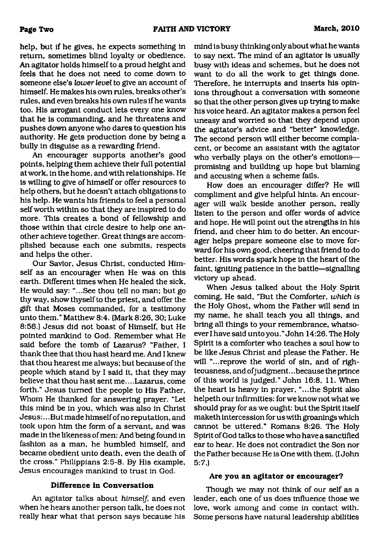help, but if he gives, he expects something in return, sometimes blind loyalty or obedience. An agitator holds himself to a proud height and feels that he does not need to come down to someone else's *lower level* to give an account of himself. He makes his own rules, breaks other's rules, and even breaks his own rules if he wants too. His arrogant conduct lets every one know that he is commanding, and he threatens and pushes down anyone who dares to question his authority. He gets production done by being a bully in disguise as a rewarding friend.

An encourager supports another's good points, helping them achieve their full potential at work, in the home, and with relationships. He is willing to give of himself or offer resources to help others, but he doesn't attach obligations to his help. He wants his friends to feel a personal self worth within so that they are inspired to do more. This creates a bond of fellowship and those within that circle desire to help one another achieve together. Great things are accomplished because each one submits, respects and helps the other.

Our Savior, Jesus Christ, conducted Himself as an encourager when He was on this earth. Different times when He healed the sick, He would say: "...See thou tell no man; but go thy way, show thyself to the priest, and offer the gift that Moses commanded, for a testimony unto them." Matthew 8:4. (Mark 8:26,30; Luke 8:56.) Jesus did not boast of Himself, but He pointed mankind to God. Remember what He said before the tomb of Lazarus? "Father, I thank thee that thou hast heard me. And I knew that thou hearest me always; but because of the people which stand by I said it, that they may believe that thou hast sent me... .Lazarus, come forth." Jesus turned the people to His Father, Whom He thanked for answering prayer. "Let this mind be in you, which was also in Christ Jesus:.. .But made himself of no reputation, and took upon him the form of a servant, and was made in the likeness of men: And being found in fashion as a man, he humbled himself, and became obedient unto death, even the death of the cross." Philippians 2:5-8. By His example, Jesus encourages mankind to trust in God.

#### **Difference in Conversation**

An agitator talks about *himself,* and even when he hears another person talk, he does not really hear what that person says because his

mind is busy thinking only about what he wants to say next. The mind of an agitator is usually busy with ideas and schemes, but he does not want to do all the work to get things done. Therefore, he interrupts and inserts his opinions throughout a conversation with someone so that the other person gives up trying to make his voice heard. An agitator makes a person feel uneasy and worried so that they depend upon the agitator's advice and "better" knowledge. The second person will either become complacent, or become an assistant with the agitator who verbally plays on the other's emotions promising and building up hope but blaming and accusing when a scheme fails.

How does an encourager differ? He will compliment and give helpful hints. An encourager will walk beside another person, really listen to the person and offer words of advice and hope. He will point out the strengths in his friend, and cheer him to do better. An encourager helps prepare someone else to move forward for his own good, cheering that friend to do better. His words spark hope in the heart of the faint, igniting patience in the battle—signalling victory up ahead.

When Jesus talked about the Holy Spirit coming, He said, "But the Comforter, *which is* the Holy Ghost, whom the Father will send in my name, he shall teach you all things, and bring all things to your remembrance, whatsoever I have said unto you."John 14:26. The Holy Spirit is a comforter who teaches a soul how to be like Jesus Christ and please the Father. He will "...reprove the world of sin, and of righteousness, and ofjudgment.. .because the prince of this world is judged." John 16:8, 11. When the heart is heavy in prayer, "...the Spirit also helpeth our infirmities: for we know not what we should pray for as we ought: but the Spirit itself maketh intercession for us with groanings which cannot be uttered." Romans 8:26. The Holy Spirit of God talks to those who have a sanctified ear to hear. He does not contradict the Son nor the Father because He is One with them. (I John 5:7.)

#### **Are you an agitator or encourager?**

Though we may not think of our self as a leader, each one of us does influence those we love, work among and come in contact with. Some persons have natural leadership abilities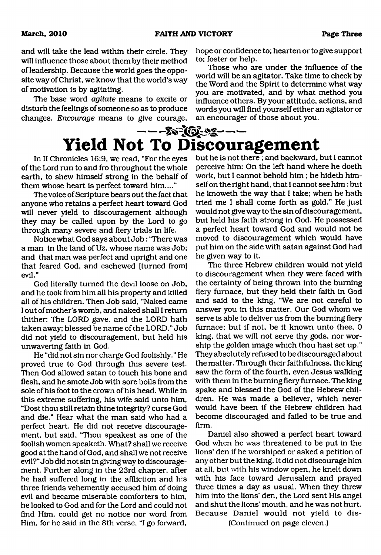and will take the lead within their circle. They will influence those about them by their method of leadership. Because the world goes the opposite way of Christ, we know that the world's way of motivation is by agitating.

The base word *agitate* means to excite or disturb the feelings of someone so as to produce changes. *Encourage* means to give courage, hope or confidence to; hearten or to give support to; foster or help.

Those who are under the influence of the world will be an agitator. Take time to check by the Word and the Spirit to determine what way you are motivated, and by what method you influence others. By your attitude, actions, and words you will find yourself either an agitator or an encourager of those about you.

## $- - -$ **Yield Not To Discouragement**

In II Chronicles 16:9, we read, "For the eyes of the Lord run to and fro throughout the whole earth, to shew himself strong in the behalf of them whose heart is perfect toward him...."

The voice of Scripture bears out the fact that anyone who retains a perfect heart toward God will never yield to discouragement although they may be called upon by the Lord to go through many severe and fiery trials in life.

Notice what God says about Job: 'There was a man in the land of Uz, whose name was Job; and that man was perfect and upright and one that feared God, and eschewed [turned from] evil."

God literally turned the devil loose on Job, and he took from him all his property and killed all of his children. Then Job said, "Naked came I out of mother's womb, and naked shall I return thither: The LORD gave, and the LORD hath taken away; blessed be name of the LORD." Job did not yield to discouragement, but held his unwavering faith in God.

He "did not sin nor charge God foolishly." He proved true to God through this severe test. Then God allowed satan to touch his bone and flesh, and he smote Job with sore boils from the sole of his foot to the crown of his head. While in this extreme suffering, his wife said unto him, "Dost thou still retain thine integrity? curse God and die." Hear what the man said who had a perfect heart. He did not receive discouragement, but said, "Thou speakest as one of the foolish women speaketh. What? shall we receive good at the hand of God, and shall we not receive evil?" Job did not sin in giving way to discouragement. Further along in the 23rd chapter, after he had suffered long in the affliction and his three friends vehemently accused him of doing evil and became miserable comforters to him, he looked to God and for the Lord and could not find Him, could get no notice nor word from Him, for he said in the 8th verse, "I go forward,

but he is not there; and backward, but I cannot perceive him: On the left hand where he doeth work, but I cannot behold him ; he hideth himself on the right hand, that I cannot see him : but he knoweth the way that I take; when he hath tried me I shall come forth as gold." He just would not give way to the sin of discouragement, but held his faith strong in God. He possessed a perfect heart toward God and would not be moved to discouragement which would have put him on the side with satan against God had he given way to it.

The three Hebrew children would not yield to discouragement when they were faced with the certainty of being thrown into the burning fiery furnace, but they held their faith in God and said to the king, "We are not careful to answer you in this matter. Our God whom we serve is able to deliver us from the burning fiery furnace; but if not, be it known unto thee, 0 king, that we will not serve thy gods, nor worship the golden image which thou hast set up." They absolutely refused to be discouraged about the matter. Through their faithfulness, the king saw the form of the fourth, even Jesus walking with them in the burning fiery furnace. The king spake and blessed the God of the Hebrew children. He was made a believer, which never would have been if the Hebrew children had become discouraged and failed to be true and firm.

Daniel also showed a perfect heart toward God when he was threatened to be put in the lions' den if he worshiped or asked a petition of any other but the king. It did not discourage him at all, but with his window open, he knelt down with his face toward Jerusalem and prayed three times a day as usual. When they threw him into the lions' den, the Lord sent His angel and shut the lions' mouth, and he was not hurt. Because Daniel would not yield to discontinued on page eleven.)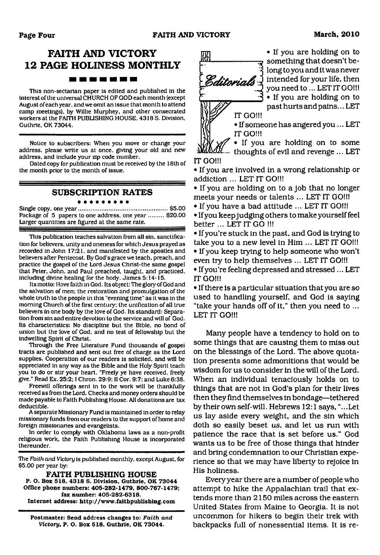## **FAITH AND VICTORY 12 PAGE HOLINESS MONTHLY**

#### -------

This non-sectarian paper is edited and published In the Interest of the universal CHURCH OF GOD each month (except August of each year, and we omit an issue that month to attend camp meetings), by Willie Murphey, and other consecrated workers at the FAITH PUBLISHING HOUSE. 4318 S. Division, Guthrie. OK 73044.

Notice to subscribers: When you move or change your address, please write us at once, giving your old and new address, and include your zip code number.

Dated copy for publication must be received by the 18th of the month prior to the month of issue.

#### **SUBSCRIPTION RATES**

Single copy, one year......................................................\$5.00 Package of 5 papers to one address, one year ......... \$20.00 Larger quantities are figured at the same rate.

This publication teaches salvation from all sin, sanctification for believers, unity and oneness for which Jesus prayed as recorded in John 17:21, and manifested by the apostles and believers after Pentecost. By God's grace we teach, preach, and practice the gospel of the Lord Jesus Christ-the same gospel that Peter. John, and Paul preached, taught, and practiced, including divine healing for the body. James 5:14-15.

Its motto: Have faith in God. Its object: The glory of God and the salvation of men: the restoration and promulgation of the whole truth to the people in this "evening time" as it was in the morning Church of the first century: the unification of all true believers in one body by the love of God. Its standard: Separation from sin and entire devotion to the service and will of God. Its characteristics: No discipline but the Bible, no bond of union but the love of God, and no test of fellowship but the indwelling Spirit of Christ.

Through the Free Literature Fund thousands of gospel tracts are published and sent out free of charge as the Lord supplies. Cooperation of our readers is solicited, and will be appreciated in any way as the Bible and the Holy Spirit teach you to do or stir your heart. "Freely ye have received, freely give." Read Ex. 25:2; I Chron. 29:9: II Cor. 9:7; and Luke 6:38.

Freewill offerings sent in to the work will be thankfully received as from the Lord. Checks and money orders should be made payable to Faith Publishing House. All donations are tax deductible.

A separate Missionary Fund is maintained in order to relay missionary funds from our readers to the support of home and foreign missionaries and evangelists.

In order to comply with Oklahoma laws as a non-profit religious work, the Faith Publishing House is incorporated thereunder.

The *Faith and Victory* is published monthly, except August, for \$5.00 per year by:

**FAITH PUBLISHING HOUSE P. O. Box 518, 4318 S. Division, Guthrie, OK 73044 Office phone numbers: 405-282-1479, 800-767-1479; fax number: 405-282-6318. Internet address: <http://www.faithpublishing.com>**

**Postmaster: Send address changes to:** *Faith and Victory,* **P. O. Box 518, Guthrie, OK 73044.**



• If you are holding on to something that doesn't belong to you and it was never Editorials  $\frac{1}{2}$  intended for your life, then you need to ... LET IT GO!!! • If you are holding on to past hurts and pains... LET

> • If someone has angered you... LET IT GO!!!

• If you are holding on to some  ${\boldsymbol{\mathfrak M}}$ .... thoughts of evil and revenge ... LET

**IT GO!!!**

• If you are involved in a wrong relationship or addiction ... LET IT GO!!!

• If you are holding on to a job that no longer meets your needs or talents ... LET IT GO!!!

• If you have a bad attitude ... LET IT GO!!!

• If you keep judging others to make yourself feel better ... LET IT GO !!!

• If you're stuck in the past, and God is trying to take you to a new level in Him ... LET IT GO!!! • If you keep trying to help someone who won't even try to help themselves ... LET IT GO!!!

• If you're feeling depressed and stressed... LET IT GO!!!

• If there is a particular situation that you are so used to handling yourself, and God is saying "take your hands off of it," then you need to ... LET IT GO!!!

Many people have a tendency to hold on to some things that are causing them to miss out on the blessings of the Lord. The above quotation presents some admonitions that would be wisdom for us to consider in the will of the Lord. When an individual tenaciously holds on to things that are not in God's plan for their lives then they find themselves in bondage—tethered by their own self-will. Hebrews 12:1 says, "...Let us lay aside every weight, and the sin which doth so easily beset *us,* and let us run with patience the race that is set before us." God wants us to be free of those things that hinder and bring condemnation to our Christian experience so that we may have liberty to rejoice in His holiness.

Every year there are a number of people who attempt to hike the Appalachian trail that extends more than 2150 miles across the eastern United States from Maine to Georgia. It is not uncommon for hikers to begin their trek with backpacks full of nonessential items. It is re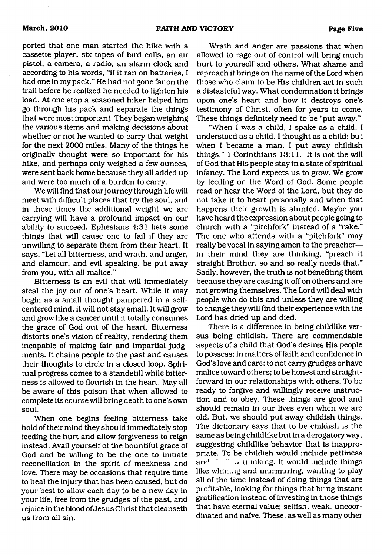ported that one man started the hike with a cassette player, six tapes of bird calls, an air pistol, a camera, a radio, an alarm clock and according to his words, "if it ran on batteries, I had one in my pack." He had not gone far on the trail before he realized he needed to lighten his load. At one stop a seasoned hiker helped him go through his pack and separate the things that were most important. They began weighing the various items and making decisions about whether or not he wanted to carry that weight for the next 2000 miles. Many of the things he originally thought were so important for his hike, and perhaps only weighed a few ounces, were sent back home because they all added up and were too much of a burden to carry.

We will find that our journey through life will meet with difficult places that try the soul, and in these times the additional weight we are carrying will have a profound impact on our ability to succeed. Ephesians 4:31 lists some things that will cause one to fail if they are unwilling to separate them from their heart. It says, "Let all bitterness, and wrath, and anger, and clamour, and evil speaking, be put away from you, with all malice."

Bitterness is an evil that will immediately steal the joy out of one's heart. While it may begin as a small thought pampered in a selfcentered mind, it will not stay small. It will grow and grow like a cancer until it totally consumes the grace of God out of the heart. Bitterness distorts one's vision of reality, rendering them incapable of making fair and impartial judgments. It chains people to the past and causes their thoughts to circle in a closed loop. Spiritual progress comes to a standstill while bitterness is allowed to flourish in the heart. May all be aware of this poison that when allowed to complete its course will bring death to one's own soul.

When one begins feeling bitterness take hold of their mind they should immediately stop feeding the hurt and allow forgiveness to reign instead. Avail yourself of the bountiful grace of God and be willing to be the one to initiate reconciliation in the spirit of meekness and love. There may be occasions that require time to heal the injury that has been caused, but do your best to allow each day to be a new day in your life, free from the grudges of the past, and rejoice in the blood of Jesus Christ that cleanseth us from all sin.

Wrath and anger are passions that when allowed to rage out of control will bring much hurt to yourself and others. What shame and reproach it brings on the name of the Lord when those who claim to be His children act in such a distasteful way. What condemnation it brings upon one's heart and how it destroys one's testimony of Christ, often for years to come. These things definitely need to be "put away."

"When I was a child, I spake as a child, I understood as a child, I thought as a child: but when I became a man, I put away childish things." I Corinthians 13:11. It is not the will of God that His people stay in a state of spiritual infancy. The Lord expects us to grow. We grow by feeding on the Word of God. Some people read or hear the Word of the Lord, but they do not take it to heart personally and when that happens their growth is stunted. Maybe you have heard the expression about people going to church with a "pitchfork" instead of a "rake." The one who attends with a "pitchfork" may really be vocal in saying amen to the preacher in their mind they are thinking, "preach it straight Brother, so and so really needs that." Sadly, however, the truth is not benefiting them because they are casting it off on others and are not growing themselves. The Lord will deal with people who do this and unless they are willing to change they will find their experience with the Lord has dried up and died.

There is a difference in being childlike versus being childish. There are commendable aspects of a child that God's desires His people to possess; in matters of faith and confidence in God's love and care; to not carry grudges or have malice toward others; to be honest and straightforward in our relationships with others. To be ready to forgive and willingly receive instruction and to obey. These things are good and should remain in our lives even when we are old. But, we should put away childish things. The dictionary says that to be childish is the same as being childlike but in a derogatory way, suggesting childlike behavior that is inappropriate. To be childish would include pettiness an<sup> $d$ </sup>  $\cdots$   $\cdots$  thinking. It would include things like whining and murmuring, wanting to play all of the time instead of doing things that are profitable, looking for things that bring instant gratification instead of investing in those things that have eternal value; selfish, weak, uncoordinated and naive. These, as well as many other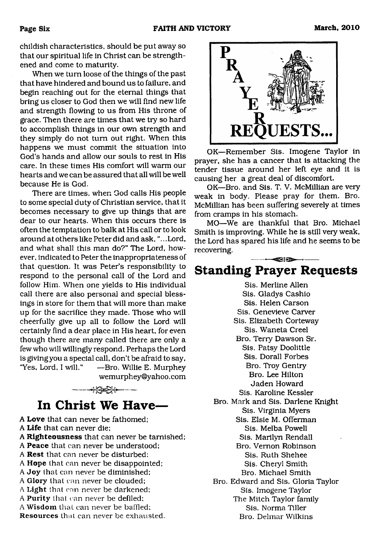childish characteristics, should be put away so that our spiritual life in Christ can be strengthened and come to maturity.

When we turn loose of the things of the past that have hindered and bound us to failure, and begin reaching out for the eternal things that bring us closer to God then we will find new life and strength flowing to us from His throne of grace. Then there are times that we try so hard to accomplish things in our own strength and they simply do not turn out right. When this happens we must commit the situation into God's hands and allow our souls to rest in His care. In these times His comfort will warm our hearts and we can be assured that all will be well because He is God.

There are times, when God calls His people to some special duty of Christian service, that it becomes necessary to give up things that are dear to our hearts. When this occurs there is often the temptation to balk at His call or to look around at others like Peter did and ask, ".. .Lord, and what shall this man do?" The Lord, however. indicated to Peter the inappropriateness of that question. It was Peter's responsibility to respond to the personal call of the Lord and follow Him. When one yields to His individual call there are also personal and special blessings in store for them that will more than make up for the sacrifice they made. Those who will cheerfully give up all to follow the Lord will certainly find a dear place in His heart, for even though there are many called there are only a few who will willingly respond. Perhaps the Lord is givingyou a special call, don't be afraid to say, "Yes, Lord, I will." —Bro. Willie E. Murphey [wemurphey@yahoo.com](mailto:wemurphey@yahoo.com)

<span id="page-5-0"></span>

A **Love** that can never be fathomed; A **Life** that can never die; A **Righteousness** that can never be tarnished; A **Peace** that can never be understood; A **Rest** that can never be disturbed: A **Hope** that can never be disappointed; A Joy that can never be diminished; A Glory that can never be clouded; A Light that can never be darkened; A Purity that can never be defiled: A Wisdom that can never be baffled; Resources that can never be exhausted.



OK—Remember Sis. Imogene Taylor in prayer, she has a cancer that is attacking the tender tissue around her left eye and it is causing her a great deal of discomfort.

OK—Bro. and Sis. T. V. McMillian are very weak in body. Please pray for them. Bro. McMillian has been suffering severely at times from cramps in his stomach.

MO—We are thankful that Bro. Michael Smith is improving. While he is still very weak, the Lord has spared his life and he seems to be recovering.

### -----■ ♦----- **Standing Prayer Requests**

Sis. Merline Allen Sis. Gladys Cashio Sis. Helen Carson Sis. Genevieve Carver Sis. Elizabeth Corteway Sis. Waneta Creel Bro. Terry Dawson Sr. Sis. Patsy Doolittle Sis. Dorall Forbes Bro. Troy Gentry Bro. Lee Hilton Jaden Howard Sis. Karoline Kessler Bro. Mark and Sis. Darlene Knight Sis. Virginia Myers Sis. Elsie M. Offerman Sis. Melba Powell Sis. Marilyn Rendall Bro. Vernon Robinson Sis. Ruth Shehee Sis. Cheryl Smith Bro. Michael Smith Bro. Edward and Sis. Gloria Taylor Sis. Imogene Taylor The Mitch Taylor family Sis. Norma Tiller Bro. Delmar Wilkins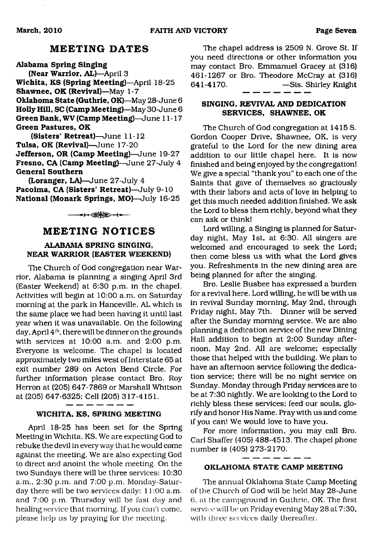#### **MEETING DATES**

**Alabama Spring Singing (Near Warrior, AL)**—April 3 **Wichita, KS (Spring Meeting)—**April 18-25 **Shawnee, OK (Revival)**—May 1-7 **Oklahoma State (Guthrie, OK)**—May 28-June 6 **Holly Hill, SC (Camp Meeting)—**May 30-June 6 **Green Bank, WV (Camp Meeting)**—June 11-17 **Green Pastures, OK**

**(Sisters' Retreat)**—June 11-12 **Tulsa, OK (Revival)**—June 17-20 **Jefferson, OR (Camp Meeting)**—June 19-27 **Fresno, CA (Camp Meeting)**—June 27-July 4 **General Southern**

**(Loranger, LA)**—June 27-July 4 **Pacoima, CA (Sisters' Retreat)**—July 9-10 **National (Monark Springs, MO)**—July 16-25

 $\longrightarrow\Longleftrightarrow\longrightarrow\qquad$ 

#### **MEETING NOTICES**

#### **ALABAMA SPRING SINGING, NEAR WARRIOR (EASTER WEEKEND)**

The Church of God congregation near Warrior, Alabama is planning a singing April 3rd (Easter Weekend) at 6:30 p.m. in the chapel. Activities will begin at 10:00 a.m. on Saturday morning at the park in Hanceville, AL which is the same place we had been having it until last year when it was unavailable. On the following day, April  $4<sup>th</sup>$ , there will be dinner on the grounds with services at 10:00 a.m. and 2:00 p.m. Everyone is welcome. The chapel is located approximately two miles west of Interstate 65 at exit number 289 on Acton Bend Circle. For further information please contact Bro. Roy Herron at (205) 647-7869 or Marshall Whitson at (205) 647-6325; Cell (205) 317-4151.

#### **WICHITA, KS, SPRING MEETING**

April 18-25 has been set for the Spring Meeting in Wichita, KS. We are expecting God to rebuke the devil in every way that he would come against the meeting. We are also expecting God to direct and anoint the whole meeting. On the two Sundays there will be three services: 10:30 a.m., 2:30 p.m. and 7:00 p.m. Monday-Saturday there will be two services daily: 11:00 a.m. and 7:00 p.m. Thursday will be fast day and healing service that morning. If you can't come, please help us by praying for the meeting.

The chapel address is 2509 N. Grove St. If you need directions or other information you may contact Bro. Emmanuel Gracey at (316) 461-1267 or Bro. Theodore McCray at (316) 641-4170. —Sis. Shirley Knight

#### **SINGING, REVIVAL AND DEDICATION SERVICES, SHAWNEE, OK**

The Church of God congregation at 1415 S. Gordon Cooper Drive, Shawnee, OK, is very grateful to the Lord for the new dining area addition to our little chapel here. It is now finished and being enjoyed by the congregation! We give a special "thank you" to each one of the Saints that gave of themselves so graciously with their labors and acts of love in helping to get this much needed addition finished. We ask the Lord to bless them richly, beyond what they can ask or think!

Lord willing, a Singing is planned for Saturday night, May 1st, at 6:30. All singers are welcomed and encouraged to seek the Lord; then come bless us with what the Lord gives you. Refreshments in the new dining area are being planned for after the singing.

Bro. Leslie Busbee has expressed a burden for a revival here. Lord willing, he will be with us in revival Sunday morning. May 2nd, through Friday night, May 7th. Dinner will be served after the Sunday morning service. We are also planning a dedication service of the new Dining Hall addition to begin at 2:00 Sunday afternoon, May 2nd. All are welcome; especially those that helped with the building. We plan to have an afternoon service following the dedication service; there will be no night service on Sunday. Monday through Friday services are to be at 7:30 nightly. We are looking to the Lord to richly bless these services; feed our souls, glorify and honor His Name. Pray with us and come if you can! We would love to have you.

For more information, you may call Bro. Carl Shaffer (405) 488-4513. The chapel phone number is (405) 273-2170.

#### $\cdot$ **OKLAHOMA STATE CAMP MEETING**

The annual Oklahoma State Camp Meeting of the Church of God will be held May 28-June 6, at the campground in Guthrie, OK. The first service will be on Friday evening May 28 at 7:30, with three services daily thereafter.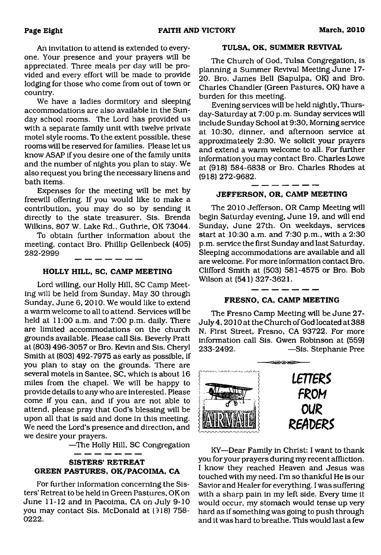An invitation to attend is extended to everyone. Your presence and your prayers will be appreciated. Three meals per day will be provided and every effort will be made to provide lodging for those who come from out of town or country.

We have a ladies dormitory and sleeping accommodations are also available in the Sunday school rooms. The Lord has provided us with a separate family unit with twelve private motel style rooms. To the extent possible, these rooms will be reserved for families. Please let us know ASAP if you desire one of the family units and the number of nights you plan to stay. We also request you bring the necessary linens and bath items.

Expenses for the meeting will be met by freewill offering. If you would like to make a contribution, you may do so by sending it directly to the state treasurer. Sis. Brenda Wilkins, 807 W. Lake Rd., Guthrie, OK 73044.

To obtain further information about the meeting, contact Bro. Phillip Gellenbeck (405) 282-2999

#### **HOLLY HILL, SC, CAMP MEETING**

Lord willing, our Holly Hill, SC Camp Meeting will be held from Sunday, May 30 through Sunday, June 6, 2010. We would like to extend a warm welcome to all to attend. Services will be held at 11:00 a.m. and 7:00 p.m. daily. There are limited accommodations on the church grounds available. Please call Sis. Beverly Pratt at (803) 496-3057 or Bro. Kevin and Sis. Cheryl Smith at (803) 492-7975 as early as possible, if you plan to stay on the grounds. There are several motels in Santee, SC, which is about 16 miles from the chapel. We will be happy to provide details to any who are interested. Please come if you can, and if you are not able to attend, please pray that God's blessing will be upon all that is said and done in this meeting. We need the Lord's presence and direction, and we desire your prayers.

—The Holly Hill, SC Congregation

#### **SISTERS' RETREAT GREEN PASTURES, OK/PACOIMA, CA**

For further information concerning the Sisters' Retreat to be held in Green Pastures, OK on June 11-12 and in Pacoima, CA on July 9-10 you may contact Sis. McDonald at (918) 758- **0222.**

#### **TULSA, OK, SUMMER REVIVAL**

The Church of God, Tulsa Congregation, is planning a Summer Revival Meeting June 17- 20. Bro. James Bell (Sapulpa, OK) and Bro. Charles Chandler (Green Pastures, OK) have a burden for this meeting.

Evening services will be held nightly, Thursday-Saturday at 7:00 p.m. Sunday services will include Sunday School at 9:30, Morning service at 10:30, dinner, and afternoon service at approximateely 2:30. We solicit your prayers and extend a warm welcome to all. For further information you may contact Bro. Charles Lowe at (918) 584-6838 or Bro. Charles Rhodes at (918) 272-9682.

#### **JEFFERSON, OR, CAMP MEETING**

The 2010 Jefferson, OR Camp Meeting will begin Saturday evening, June 19, and will end Sunday, June 27th. On weekdays, services start at 10:30 a.m. and 7:30 p.m., with a 2:30 p.m. service the first Sunday and last Saturday. Sleeping accommodations are available and all are welcome. For more information contact Bro. Clifford Smith at (503) 581-4575 or Bro. Bob Wilson at (541) 327-3621.

#### **FRESNO, CA, CAMP MEETING**

The Fresno Camp Meeting will be June 27- July 4,2010 at the Church of God located at 388 N. First Street, Fresno, CA 93722. For more information call Sis. Gwen Robinson at (559) 233-2492. —Sis. Stephanie Pree



KY—Dear Family in Christ: I want to thank you for your prayers during my recent affliction. I know they reached Heaven and Jesus was touched with my need. I'm so thankful He is our Savior and Healer for everything. I was suffering with a sharp pain in my left side. Every time it would occur, my stomach would tense up very hard as if something was going to push through and it was hard to breathe. This would last a few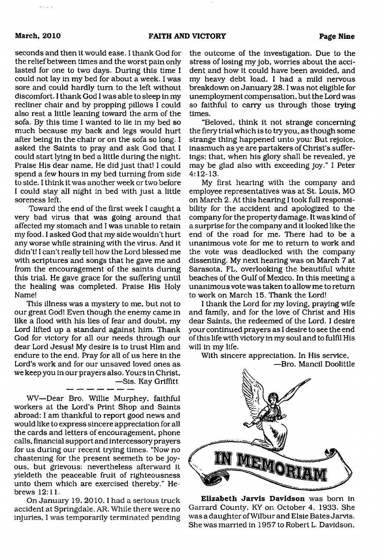seconds and then it would ease. I thank God for the relief between times and the worst pain only lasted for one to two days. During this time I could not lay in my bed for about a week. I was sore and could hardly turn to the left without discomfort. I thank God I was able to sleep in my recliner chair and by propping pillows I could also rest a little leaning toward the arm of the sofa. By this time I wanted to lie in my bed so much because my back and legs would hurt after being in the chair or on the sofa so long. I asked the Saints to pray and ask God that I could start lying in bed a little during the night. Praise His dear name, He did just that! I could spend a few hours in my bed turning from side to side. I think it was another week or two before I could stay all night in bed with just a little soreness left.

Toward the end of the first week I caught a very bad virus that was going around that affected my stomach and I was unable to retain my food. I asked God that my side wouldn't hurt any worse while straining with the virus. And it didn't! I can't really tell how the Lord blessed me with scriptures and songs that he gave me and from the encouragement of the saints during this trial. He gave grace for the suffering until the healing was completed. Praise His Holy Name!

This illness was a mystery to me, but not to our great God! Even though the enemy came in like a flood with his lies of fear and doubt, my Lord lifted up a standard against him. Thank God for victory for all our needs through our dear Lord Jesus! My desire is to trust Him and endure to the end. Pray for all of us here in the Lord's work and for our unsaved loved ones as we keep you in our prayers also. Yours in Christ, —Sis. Kay Griffitt

WV—Dear Bro. Willie Murphey, faithful workers at the Lord's Print Shop and Saints abroad: I am thankful to report good news and would like to express sincere appreciation for all the cards and letters of encouragement, phone calls, financial support and intercessory prayers for us during our recent trying times. "Now no chastening for the present seemeth to be joyous, but grievous: nevertheless afterward it yieldeth the peaceable fruit of righteousness unto them which are exercised thereby." Hebrews 12:11.

On January 19, 2010, I had a serious truck accident at Springdale, AR. While there were no injuries, I was temporarily terminated pending

the outcome of the investigation. Due to the stress of losing my job, worries about the accident and how it could have been avoided, and my heavy debt load, I had a mild nervous breakdown on January 28.1 was not eligible for unemployment compensation, but the Lord was so faithful to carry us through those trying times.

"Beloved, think it not strange concerning the fiery trial which is to try you, as though some strange thing happened unto you: But rejoice, inasmuch as ye are partakers of Christ's sufferings; that, when his glory shall be revealed, ye may be glad also with exceeding joy." I Peter 4:12-13.

My first hearing with the company and employee representatives was at St. Louis, MO on March 2. At this hearing I took full responsibility for the accident and apologized to the company for the property damage. It was kind of a surprise for the company and it looked like the end of the road for me. There had to be a unanimous vote for me to return to work and the vote was deadlocked with the company dissenting. My next hearing was on March 7 at Sarasota, FL, overlooking the beautiful white beaches of the Gulf of Mexico. In this meeting a unanimous vote was taken to allow me to return to work on March 15. Thank the Lord!

I thank the Lord for my loving, praying wife and family, and for the love of Christ and His dear Saints, the redeemed of the Lord. I desire your continued prayers as I desire to see the end of this life with victory in my soul and to fulfil His will in my life.

With sincere appreciation. In His service, —Bro. Mancil Doolittle



**Elizabeth Jarvis Davidson** was born in Garrard County, KY on October 4, 1933. She was a daughter of Wilbur and Elsie Bates Jarvis. She was married in 1957 to Robert L. Davidson,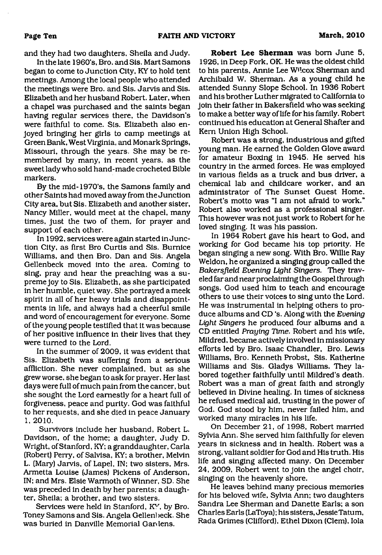and they had two daughters, Sheila and Judy.

In the late 1960's, Bro. and Sis. Mart Samons began to come to Junction City, KY to hold tent meetings. Among the local people who attended the meetings were Bro. and Sis. Jarvis and Sis. Elizabeth and her husband Robert. Later, when a chapel was purchased and the saints began having regular services there, the Davidson's were faithful to come. Sis. Elizabeth also enjoyed bringing her girls to camp meetings at Green Bank, West Virginia, and Monark Springs, Missouri, through the years. She may be remembered by many, in recent years, as the sweet lady who sold hand-made crocheted Bible markers.

By the mid-1970's, the Samons family and other Saints had moved away from the Junction City area, but Sis. Elizabeth and another sister, Nancy Miller, would meet at the chapel, many times, just the two of them, for prayer and support of each other.

In 1992, services were again started in Junction City, as first Bro Curtis and Sis. Bumice Williams, and then Bro. Dan and Sis. Angela Gellenbeck moved into the area. Coming to sing, pray and hear the preaching was a supreme joy to Sis. Elizabeth, as she participated in her humble, quiet way. She portrayed a meek spirit in all of her heavy trials and disappointments in life, and always had a cheerful smile and word of encouragement for everyone. Some of the young people testified that it was because of her positive influence in their lives that they were turned to the Lord.

In the summer of 2009, it was evident that Sis. Elizabeth was suffering from a serious affliction. She never complained, but as she grew worse, she began to ask for prayer. Her last days were full of much pain from the cancer, but she sought the Lord earnestly for a heart full of forgiveness, peace and purity. God was faithful to her requests, and she died in peace January **1, 2010.**

Survivors include her husband, Robert L. Davidson, of the home; a daughter, Judy D. Wright, of Stanford, KY; a granddaughter, Carla (Robert) Perry, of Salvisa, KY; a brother, Melvin L. (Mary) Jarvis, of Lapel, IN; two sisters, Mrs. Armetta Louise (James) Pickens of Anderson, IN; and Mrs. Elsie Warmoth of Winner, SD. She was preceded in death by her parents; a daughter, Sheila; a brother, and two sisters.

Services were held in Stanford, KY, by Bro. Toney Samons and Sis. Angela Gellenbeck. She was buried in Danville Memorial Gardens.

**Robert Lee Sherman** was bom June 5, 1926, in Deep Fork, OK. He was the oldest child to his parents, Annie Lee Wilcox Sherman and Archibald W. Sherman. As a young child he attended Sunny Slope School. In 1936 Robert and his brother Luther migrated to California to join their father in Bakersfield who was seeking to make a better way of life for his family. Robert continued his education at General Shatter and Kem Union High School.

Robert was a strong, industrious and gifted young man. He earned the Golden Glove award for amateur Boxing in 1945. He served his country in the armed forces. He was employed in various fields as a truck and bus driver, a chemical lab and childcare worker, and an administrator of The Sunset Guest Home. Robert's motto was "I am not afraid to work." Robert also worked as a professional singer. This however was not just work to Robert for he loved singing. It was his passion.

In 1964 Robert gave his heart to God, and working for God became his top priority. He began singing a new song. With Bro. Willie Ray Weldon, he organized a singing group called the *Bakersfield Evening Light Singers.* They traveled far and near proclaiming the Gospel through songs. God used him to teach and encourage others to use their voices to sing unto the Lord. He was instrumental in helping others to produce albums and CD 's. Along with the *Evening Light Singers* he produced four albums and a CD entitled *Praying Time.* Robert and his wife, Mildred, became actively involved in missionary efforts led by Bro. Isaac Chandler, Bro. Lewis Williams, Bro. Kenneth Probst, Sis. Katherine Williams and Sis. Gladys Williams. They labored together faithfully until Mildred's death. Robert was a man of great faith and strongly believed in Divine healing. In times of sickness he refused medical aid, trusting in the power of God. God stood by him, never failed him, and worked many miracles in his life.

On December 21, of 1998, Robert married Sylvia Ann. She served him faithfully for eleven years in sickness and in health. Robert was a strong, valiant soldier for God and His truth. His life and singing affected many. On December 24, 2009, Robert went to join the angel choir, singing on the heavenly shore.

He leaves behind many precious memories for his beloved wife, Sylvia Ann; two daughters Sandra Lee Sherman and Danette Earls; a son Charles Earls (LaToya); his sisters, Jessie Tatum, Rada Grimes (Clifford), Ethel Dixon (Clem), Iola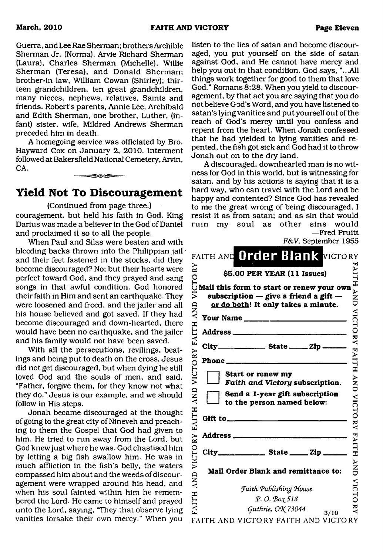Guerra, and Lee Rae Sherman; brothers Archible Sherman Jr. (Norma), Arvie Richard Sherman (Laura), Charles Sherman (Michelle), Willie Sherman (Teresa), and Donald Sherman; brother-in law, William Cowan (Shirley); thirteen grandchildren, ten great grandchildren, many nieces, nephews, relatives. Saints and friends. Robert's parents, Annie Lee, Archibald and Edith Sherman, one brother, Luther, (infant) sister, wife, Mildred Andrews Sherman preceded him in death.

A homegoing service was officiated by Bro. Hayward Cox on January 2, 2010. Interment followed at Bakersfield National Cemetery, Arvin, CA.

### **Yield Not To Discouragement**

- - -

(Continued from page three.)

couragement, but held his faith in God. King Darius was made a believer in the God of Daniel and proclaimed it so to all the people.

When Paul and Silas were beaten and with bleeding backs thrown into the Philippian jail  $\cdot$ and their feet fastened in the stocks, did they become discouraged? No; but their hearts were perfect toward God, and they prayed and sang songs in that awful condition. God honored their faith in Him and sent an earthquake. They were loosened and freed, and the jailer and all his house believed and got saved. If they had become discouraged and down-hearted, there would have been no earthquake, and the jailer and his family would not have been saved.

With all the persecutions, revilings, beatings and being put to death on the cross, Jesus did not get discouraged, but when dying he still loved God and the souls of men, and said, "Father, forgive them, for they know not what they do." Jesus is our example, and we should follow in His steps.

Jonah became discouraged at the thought of going to the great city of Nineveh and preaching to them the Gospel that God had given to him. He tried to run away from the Lord, but God knew just where he was. God chastised him by letting a big fish swallow him. He was in much affliction in the fish's belly, the waters compassed him about and the weeds of discouragement were wrapped around his head, and when his soul fainted within him he remembered the Lord. He came to himself and prayed unto the Lord, saying, "They that observe lying vanities forsake their own mercy." When you listen to the lies of satan and become discouraged, you put yourself on the side of satan against God, and He cannot have mercy and help you out in that condition. God says, "...All things work together for good to them that love God." Romans 8:28. When you yield to discouragement, by that act you are saying that you do not believe God's Word, and you have listened to satan's lying vanities and put yourself out of the reach of God's mercy until you confess and repent from the heart. When Jonah confessed that he had yielded to lying vanities and repented, the fish got sick and God had it to throw Jonah out on to the dry land.

A discouraged, downhearted man is no witness for God in this world, but is witnessing for satan, and by his actions is saying that it is a hard way, who can travel with the Lord and be happy and contented? Since God has revealed to me the great wrong of being discouraged, I resist it as from satan; and as sin that would ruin my soul as other sins would —Fred Pruitt

*F&V,* September 1955

| rwy, ocpienner 1900                                                                                                                                                                                                                                                                                                                                           |                               |
|---------------------------------------------------------------------------------------------------------------------------------------------------------------------------------------------------------------------------------------------------------------------------------------------------------------------------------------------------------------|-------------------------------|
| FAITH AND Order Blank VICTORY                                                                                                                                                                                                                                                                                                                                 |                               |
| $\begin{array}{ll}\n\approx \\ \approx \\ \odot \\ \odot\n\end{array}$ \$5.00 PER YEAR (11 Issues)<br>$\odot$ Mail this form to start or renew your own                                                                                                                                                                                                       | <b>FAITH</b>                  |
|                                                                                                                                                                                                                                                                                                                                                               |                               |
| subscription $-$ give a friend a gift $-$                                                                                                                                                                                                                                                                                                                     | YNY<br>U                      |
| or do both! It only takes a minute.                                                                                                                                                                                                                                                                                                                           |                               |
|                                                                                                                                                                                                                                                                                                                                                               | <b>VICTORY</b>                |
|                                                                                                                                                                                                                                                                                                                                                               |                               |
|                                                                                                                                                                                                                                                                                                                                                               |                               |
| City____________________ State ________ Zip ______                                                                                                                                                                                                                                                                                                            |                               |
|                                                                                                                                                                                                                                                                                                                                                               | HILIYE.                       |
| Start or renew my<br>Faith and Victory subscription.                                                                                                                                                                                                                                                                                                          | $\sum_{i=1}^{n}$              |
| Send a 1-year gift subscription<br>to the person named below:                                                                                                                                                                                                                                                                                                 | <b>VICTORY</b>                |
| Gift to $\qquad \qquad$ $\qquad \qquad$ $\qquad \qquad$ $\qquad \qquad$ $\qquad \qquad$ $\qquad \qquad$ $\qquad \qquad$ $\qquad \qquad$ $\qquad \qquad$ $\qquad$ $\qquad$ $\qquad$ $\qquad$ $\qquad$ $\qquad$ $\qquad$ $\qquad$ $\qquad$ $\qquad$ $\qquad$ $\qquad$ $\qquad$ $\qquad$ $\qquad$ $\qquad$ $\qquad$ $\qquad$ $\qquad$ $\qquad$ $\qquad$ $\qquad$ |                               |
|                                                                                                                                                                                                                                                                                                                                                               |                               |
|                                                                                                                                                                                                                                                                                                                                                               |                               |
|                                                                                                                                                                                                                                                                                                                                                               | FAITH                         |
| Mail Order Blank and remittance to:                                                                                                                                                                                                                                                                                                                           | }<br>N<br>D                   |
|                                                                                                                                                                                                                                                                                                                                                               |                               |
|                                                                                                                                                                                                                                                                                                                                                               |                               |
| <b>Faith Publishing House</b>                                                                                                                                                                                                                                                                                                                                 |                               |
| P.O. Box 518<br>Guthrie, OK 73044<br>3/10                                                                                                                                                                                                                                                                                                                     | VICTO<br>$\breve{\mathbf{x}}$ |